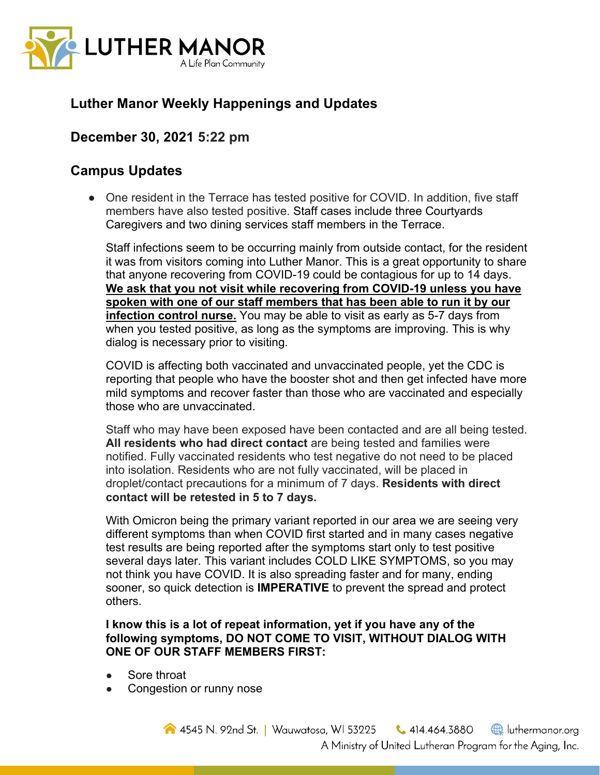

# **Luther Manor Weekly Happenings and Updates**

## **December 30, 2021 5:22 pm**

### **Campus Updates**

• One resident in the Terrace has tested positive for COVID. In addition, five staff members have also tested positive. Staff cases include three Courtyards Caregivers and two dining services staff members in the Terrace.

Staff infections seem to be occurring mainly from outside contact, for the resident it was from visitors coming into Luther Manor. This is a great opportunity to share that anyone recovering from COVID-19 could be contagious for up to 14 days. **We ask that you not visit while recovering from COVID-19 unless you have spoken with one of our staff members that has been able to run it by our infection control nurse.** You may be able to visit as early as 5-7 days from when you tested positive, as long as the symptoms are improving. This is why dialog is necessary prior to visiting.

COVID is affecting both vaccinated and unvaccinated people, yet the CDC is reporting that people who have the booster shot and then get infected have more mild symptoms and recover faster than those who are vaccinated and especially those who are unvaccinated.

Staff who may have been exposed have been contacted and are all being tested. **All residents who had direct contact** are being tested and families were notified. Fully vaccinated residents who test negative do not need to be placed into isolation. Residents who are not fully vaccinated, will be placed in droplet/contact precautions for a minimum of 7 days. **Residents with direct contact will be retested in 5 to 7 days.** 

With Omicron being the primary variant reported in our area we are seeing very different symptoms than when COVID first started and in many cases negative test results are being reported after the symptoms start only to test positive several days later. This variant includes COLD LIKE SYMPTOMS, so you may not think you have COVID. It is also spreading faster and for many, ending sooner, so quick detection is **IMPERATIVE** to prevent the spread and protect others.

#### **I know this is a lot of repeat information, yet if you have any of the following symptoms, DO NOT COME TO VISIT, WITHOUT DIALOG WITH ONE OF OUR STAFF MEMBERS FIRST:**

- Sore throat
- Congestion or runny nose